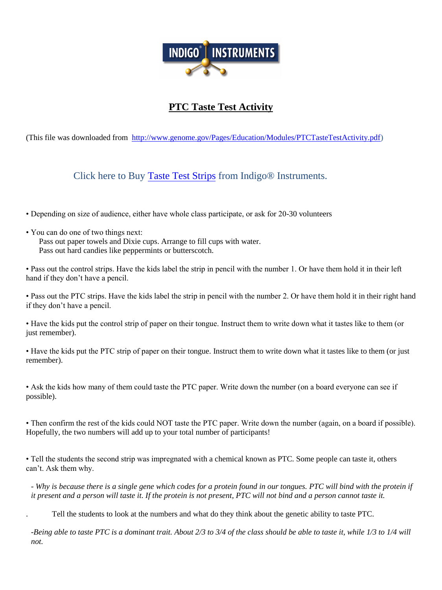

## **PTC Taste Test Activity**

(This file was downloaded from [http://www.genome.gov/Pages/Education/Modules/PTCTasteTestActivity.pdf\)](http://www.genome.gov/Pages/Education/Modules/PTCTasteTestActivity.pdf)

Click here to Buy [Taste Test Strips](https://www.indigoinstruments.com/test_strips/biology/taste_tests/) from Indigo® Instruments.

• Depending on size of audience, either have whole class participate, or ask for 20-30 volunteers

• You can do one of two things next:

Pass out paper towels and Dixie cups. Arrange to fill cups with water. Pass out hard candies like peppermints or butterscotch.

• Pass out the control strips. Have the kids label the strip in pencil with the number 1. Or have them hold it in their left hand if they don't have a pencil.

• Pass out the PTC strips. Have the kids label the strip in pencil with the number 2. Or have them hold it in their right hand if they don't have a pencil.

• Have the kids put the control strip of paper on their tongue. Instruct them to write down what it tastes like to them (or just remember).

• Have the kids put the PTC strip of paper on their tongue. Instruct them to write down what it tastes like to them (or just remember).

• Ask the kids how many of them could taste the PTC paper. Write down the number (on a board everyone can see if possible).

• Then confirm the rest of the kids could NOT taste the PTC paper. Write down the number (again, on a board if possible). Hopefully, the two numbers will add up to your total number of participants!

• Tell the students the second strip was impregnated with a chemical known as PTC. Some people can taste it, others can't. Ask them why.

- *Why is because there is a single gene which codes for a protein found in our tongues. PTC will bind with the protein if it present and a person will taste it. If the protein is not present, PTC will not bind and a person cannot taste it.*

. Tell the students to look at the numbers and what do they think about the genetic ability to taste PTC.

-*Being able to taste PTC is a dominant trait. About 2/3 to 3/4 of the class should be able to taste it, while 1/3 to 1/4 will not.*